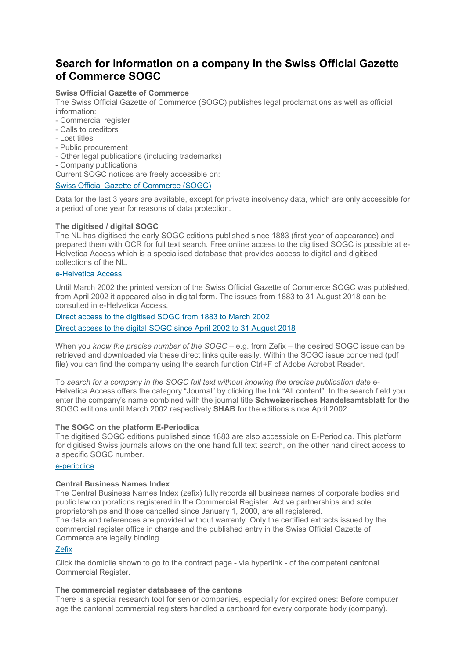# **Search for information on a company in the Swiss Official Gazette of Commerce SOGC**

## **Swiss Official Gazette of Commerce**

The Swiss Official Gazette of Commerce (SOGC) publishes legal proclamations as well as official information:

- Commercial register
- Calls to creditors
- Lost titles
- Public procurement
- Other legal publications (including trademarks)
- Company publications

Current SOGC notices are freely accessible on:

# [Swiss Official Gazette of Commerce \(SOGC\)](https://www.shab.ch/#!/gazette)

Data for the last 3 years are available, except for private insolvency data, which are only accessible for a period of one year for reasons of data protection.

## **The digitised / digital SOGC**

The NL has digitised the early SOGC editions published since 1883 (first year of appearance) and prepared them with OCR for full text search. Free online access to the digitised SOGC is possible at e-Helvetica Access which is a specialised database that provides access to digital and digitised collections of the NL.

## [e-Helvetica Access](https://www.e-helvetica.nb.admin.ch/)

Until March 2002 the printed version of the Swiss Official Gazette of Commerce SOGC was published, from April 2002 it appeared also in digital form. The issues from 1883 to 31 August 2018 can be consulted in e-Helvetica Access.

[Direct access to the digitised SOGC from 1883 to March 2002](https://www.e-helvetica.nb.admin.ch/search?parent=nbdig-65878) [Direct access to the digital SOGC since April 2002 to 31 August 2018](https://www.e-helvetica.nb.admin.ch/search?parent=bel-126252)

When you *know the precise number of the SOGC* – e.g. from Zefix – the desired SOGC issue can be retrieved and downloaded via these direct links quite easily. Within the SOGC issue concerned (pdf file) you can find the company using the search function Ctrl+F of Adobe Acrobat Reader.

To *search for a company in the SOGC full text without knowing the precise publication date* e-Helvetica Access offers the category "Journal" by clicking the link "All content". In the search field you enter the company's name combined with the journal title **Schweizerisches Handelsamtsblatt** for the SOGC editions until March 2002 respectively **SHAB** for the editions since April 2002.

#### **The SOGC on the platform E-Periodica**

The digitised SOGC editions published since 1883 are also accessible on E-Periodica. This platform for digitised Swiss journals allows on the one hand full text search, on the other hand direct access to a specific SOGC number.

# [e-periodica](https://www.e-periodica.ch/?lang=en)

#### **Central Business Names Index**

The Central Business Names Index (zefix) fully records all business names of corporate bodies and public law corporations registered in the Commercial Register. Active partnerships and sole proprietorships and those cancelled since January 1, 2000, are all registered. The data and references are provided without warranty. Only the certified extracts issued by the commercial register office in charge and the published entry in the Swiss Official Gazette of Commerce are legally binding.

## **[Zefix](https://www.zefix.ch/en/search/entity/welcome)**

Click the domicile shown to go to the contract page - via hyperlink - of the competent cantonal Commercial Register.

#### **The commercial register databases of the cantons**

There is a special research tool for senior companies, especially for expired ones: Before computer age the cantonal commercial registers handled a cartboard for every corporate body (company).